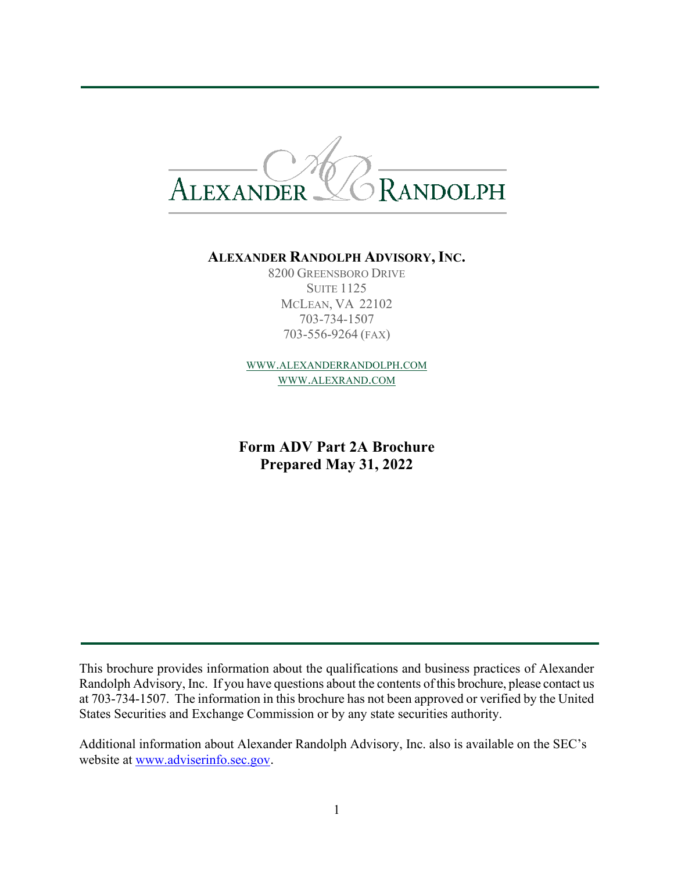

#### **ALEXANDER RANDOLPH ADVISORY, INC.**

8200 GREENSBORO DRIVE **SUITE 1125** MCLEAN, VA 22102 703-734-1507 703-556-9264 (FAX)

[WWW.ALEXANDERRANDOLPH.COM](http://www.alexanderrandolph.com/) [WWW.ALEXRAND.COM](http://www.alexrand.com/)

**Form ADV Part 2A Brochure Prepared May 31, 2022**

This brochure provides information about the qualifications and business practices of Alexander Randolph Advisory, Inc. If you have questions about the contents of this brochure, please contact us at 703-734-1507. The information in this brochure has not been approved or verified by the United States Securities and Exchange Commission or by any state securities authority.

Additional information about Alexander Randolph Advisory, Inc. also is available on the SEC's website at [www.adviserinfo.sec.gov](http://www.adviserinfo.sec.gov/).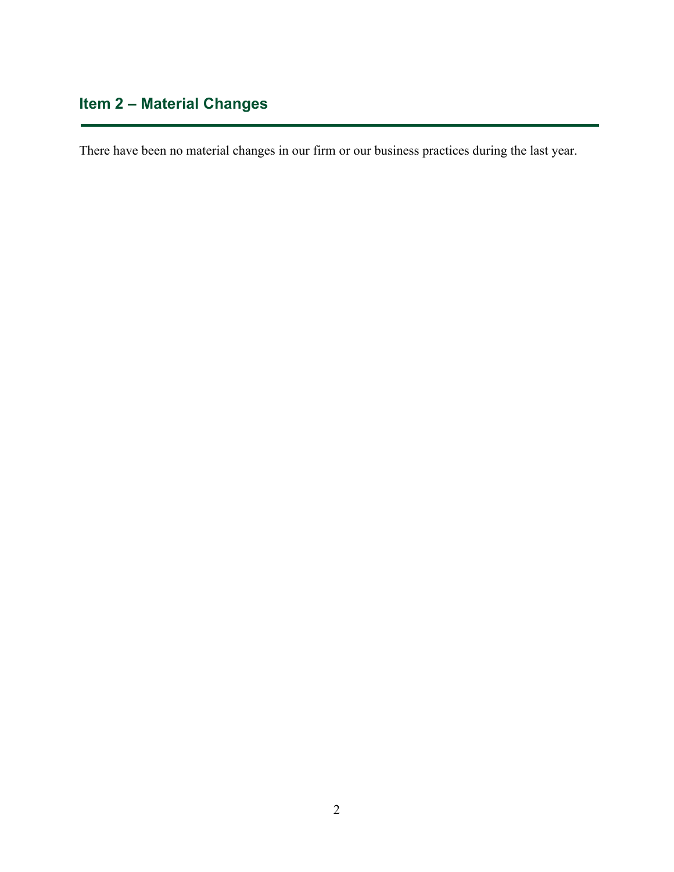# **Item 2 – Material Changes**

<span id="page-1-0"></span>There have been no material changes in our firm or our business practices during the last year.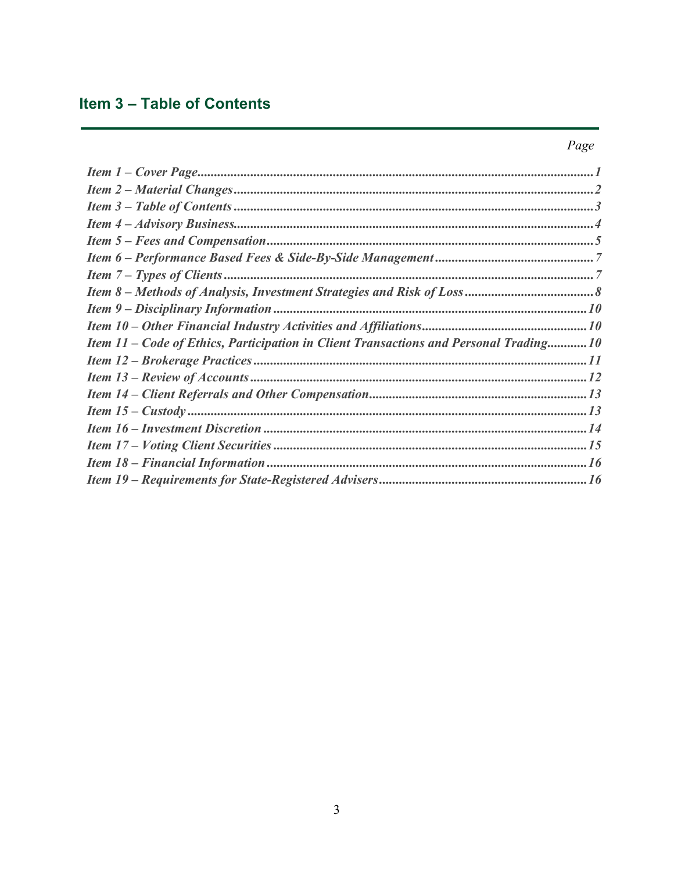## Item 3 - Table of Contents

### Page

| Item 11 – Code of Ethics, Participation in Client Transactions and Personal Trading10 |  |
|---------------------------------------------------------------------------------------|--|
|                                                                                       |  |
|                                                                                       |  |
|                                                                                       |  |
|                                                                                       |  |
|                                                                                       |  |
|                                                                                       |  |
|                                                                                       |  |
|                                                                                       |  |
|                                                                                       |  |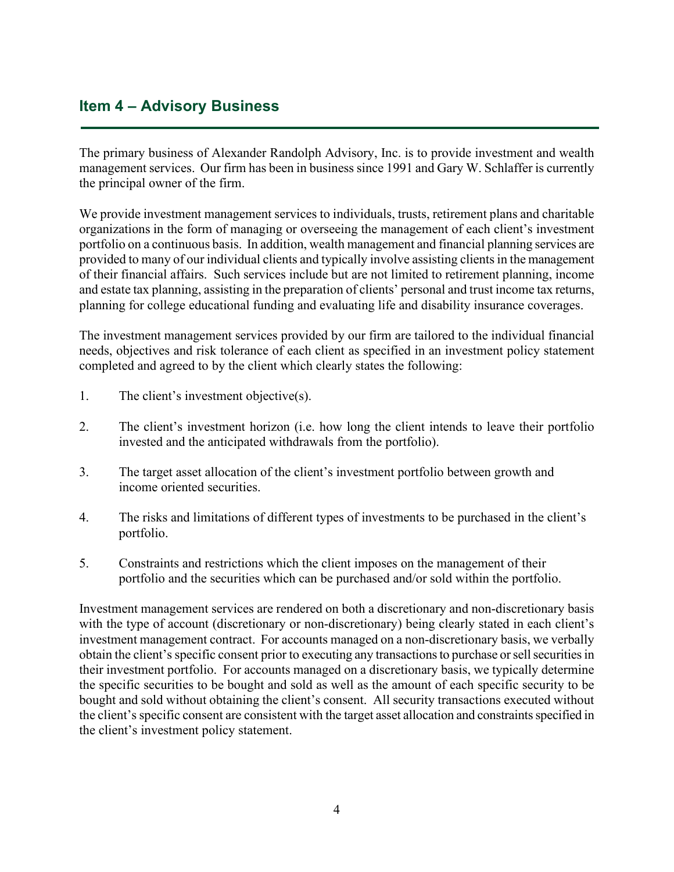### **Item 4 – Advisory Business**

The primary business of Alexander Randolph Advisory, Inc. is to provide investment and wealth management services. Our firm has been in business since 1991 and Gary W. Schlaffer is currently the principal owner of the firm.

We provide investment management services to individuals, trusts, retirement plans and charitable organizations in the form of managing or overseeing the management of each client's investment portfolio on a continuous basis. In addition, wealth management and financial planning services are provided to many of our individual clients and typically involve assisting clients in the management of their financial affairs. Such services include but are not limited to retirement planning, income and estate tax planning, assisting in the preparation of clients' personal and trust income tax returns, planning for college educational funding and evaluating life and disability insurance coverages.

The investment management services provided by our firm are tailored to the individual financial needs, objectives and risk tolerance of each client as specified in an investment policy statement completed and agreed to by the client which clearly states the following:

- 1. The client's investment objective(s).
- 2. The client's investment horizon (i.e. how long the client intends to leave their portfolio invested and the anticipated withdrawals from the portfolio).
- 3. The target asset allocation of the client's investment portfolio between growth and income oriented securities.
- 4. The risks and limitations of different types of investments to be purchased in the client's portfolio.
- 5. Constraints and restrictions which the client imposes on the management of their portfolio and the securities which can be purchased and/or sold within the portfolio.

Investment management services are rendered on both a discretionary and non-discretionary basis with the type of account (discretionary or non-discretionary) being clearly stated in each client's investment management contract. For accounts managed on a non-discretionary basis, we verbally obtain the client's specific consent prior to executing any transactions to purchase or sell securities in their investment portfolio. For accounts managed on a discretionary basis, we typically determine the specific securities to be bought and sold as well as the amount of each specific security to be bought and sold without obtaining the client's consent. All security transactions executed without the client's specific consent are consistent with the target asset allocation and constraints specified in the client's investment policy statement.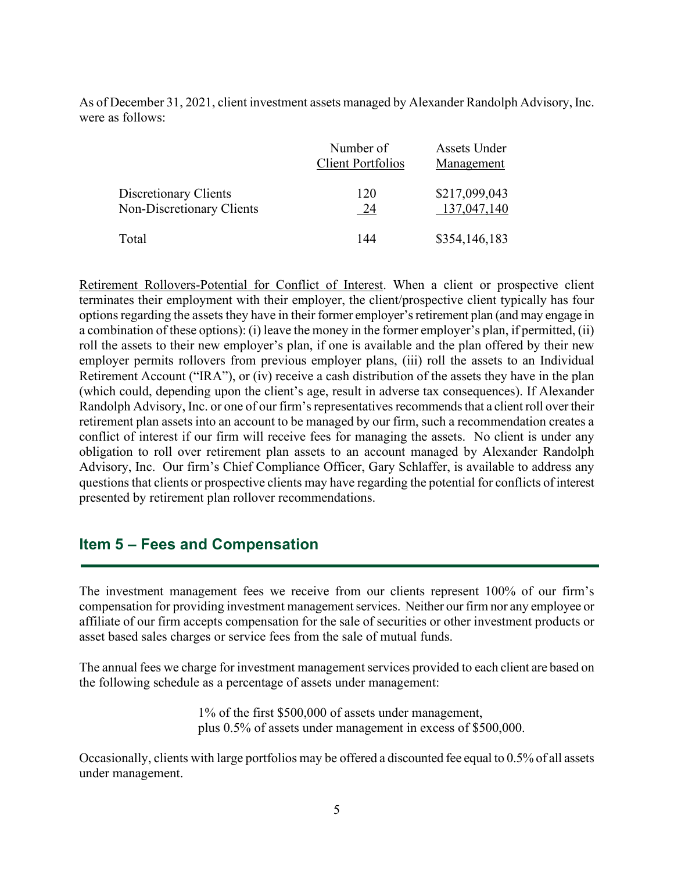As of December 31, 2021, client investment assets managed by Alexander Randolph Advisory, Inc. were as follows:

|                                                           | Number of<br><b>Client Portfolios</b> | Assets Under<br>Management   |
|-----------------------------------------------------------|---------------------------------------|------------------------------|
| Discretionary Clients<br><b>Non-Discretionary Clients</b> | 120<br>24                             | \$217,099,043<br>137,047,140 |
| Total                                                     | 144                                   | \$354,146,183                |

Retirement Rollovers-Potential for Conflict of Interest. When a client or prospective client terminates their employment with their employer, the client/prospective client typically has four options regarding the assets they have in their former employer'sretirement plan (and may engage in a combination of these options): (i) leave the money in the former employer's plan, if permitted, (ii) roll the assets to their new employer's plan, if one is available and the plan offered by their new employer permits rollovers from previous employer plans, (iii) roll the assets to an Individual Retirement Account ("IRA"), or (iv) receive a cash distribution of the assets they have in the plan (which could, depending upon the client's age, result in adverse tax consequences). If Alexander Randolph Advisory, Inc. or one of our firm's representatives recommends that a client roll over their retirement plan assets into an account to be managed by our firm, such a recommendation creates a conflict of interest if our firm will receive fees for managing the assets. No client is under any obligation to roll over retirement plan assets to an account managed by Alexander Randolph Advisory, Inc. Our firm's Chief Compliance Officer, Gary Schlaffer, is available to address any questions that clients or prospective clients may have regarding the potential for conflicts of interest presented by retirement plan rollover recommendations.

### **Item 5 – Fees and Compensation**

The investment management fees we receive from our clients represent 100% of our firm's compensation for providing investment management services. Neither our firm nor any employee or affiliate of our firm accepts compensation for the sale of securities or other investment products or asset based sales charges or service fees from the sale of mutual funds.

The annual fees we charge for investment management services provided to each client are based on the following schedule as a percentage of assets under management:

> 1% of the first \$500,000 of assets under management, plus 0.5% of assets under management in excess of \$500,000.

Occasionally, clients with large portfolios may be offered a discounted fee equal to 0.5% of all assets under management.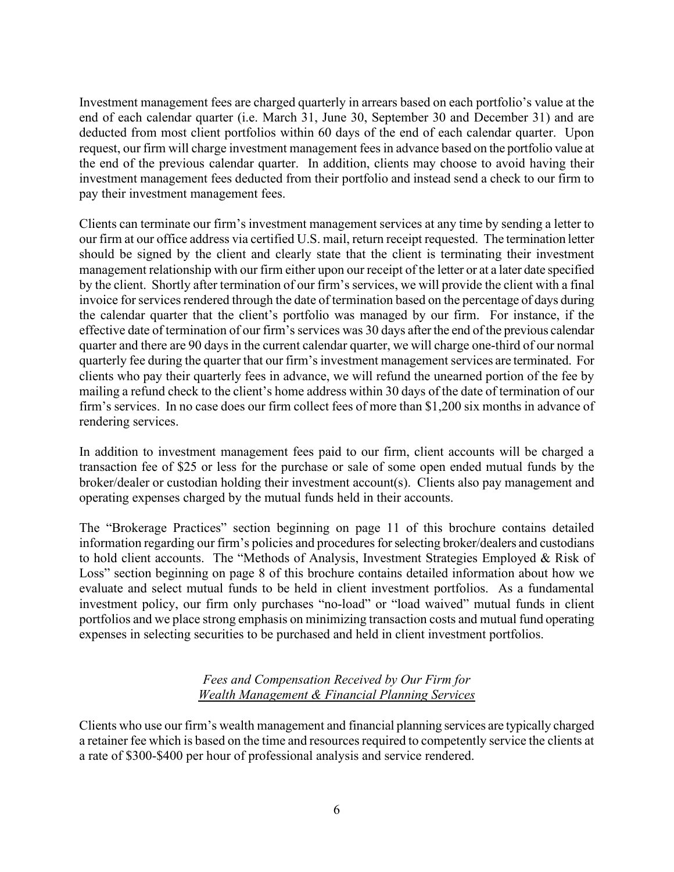Investment management fees are charged quarterly in arrears based on each portfolio's value at the end of each calendar quarter (i.e. March 31, June 30, September 30 and December 31) and are deducted from most client portfolios within 60 days of the end of each calendar quarter. Upon request, our firm will charge investment management fees in advance based on the portfolio value at the end of the previous calendar quarter. In addition, clients may choose to avoid having their investment management fees deducted from their portfolio and instead send a check to our firm to pay their investment management fees.

Clients can terminate our firm's investment management services at any time by sending a letter to our firm at our office address via certified U.S. mail, return receipt requested. The termination letter should be signed by the client and clearly state that the client is terminating their investment management relationship with our firm either upon our receipt of the letter or at a later date specified by the client. Shortly after termination of our firm's services, we will provide the client with a final invoice for services rendered through the date of termination based on the percentage of days during the calendar quarter that the client's portfolio was managed by our firm. For instance, if the effective date of termination of our firm's services was 30 days after the end of the previous calendar quarter and there are 90 days in the current calendar quarter, we will charge one-third of our normal quarterly fee during the quarter that our firm's investment management services are terminated. For clients who pay their quarterly fees in advance, we will refund the unearned portion of the fee by mailing a refund check to the client's home address within 30 days of the date of termination of our firm's services. In no case does our firm collect fees of more than \$1,200 six months in advance of rendering services.

In addition to investment management fees paid to our firm, client accounts will be charged a transaction fee of \$25 or less for the purchase or sale of some open ended mutual funds by the broker/dealer or custodian holding their investment account(s). Clients also pay management and operating expenses charged by the mutual funds held in their accounts.

The "Brokerage Practices" section beginning on page 11 of this brochure contains detailed information regarding our firm's policies and procedures for selecting broker/dealers and custodians to hold client accounts. The "Methods of Analysis, Investment Strategies Employed & Risk of Loss" section beginning on page 8 of this brochure contains detailed information about how we evaluate and select mutual funds to be held in client investment portfolios. As a fundamental investment policy, our firm only purchases "no-load" or "load waived" mutual funds in client portfolios and we place strong emphasis on minimizing transaction costs and mutual fund operating expenses in selecting securities to be purchased and held in client investment portfolios.

#### *Fees and Compensation Received by Our Firm for Wealth Management & Financial Planning Services*

Clients who use our firm's wealth management and financial planning services are typically charged a retainer fee which is based on the time and resources required to competently service the clients at a rate of \$300-\$400 per hour of professional analysis and service rendered.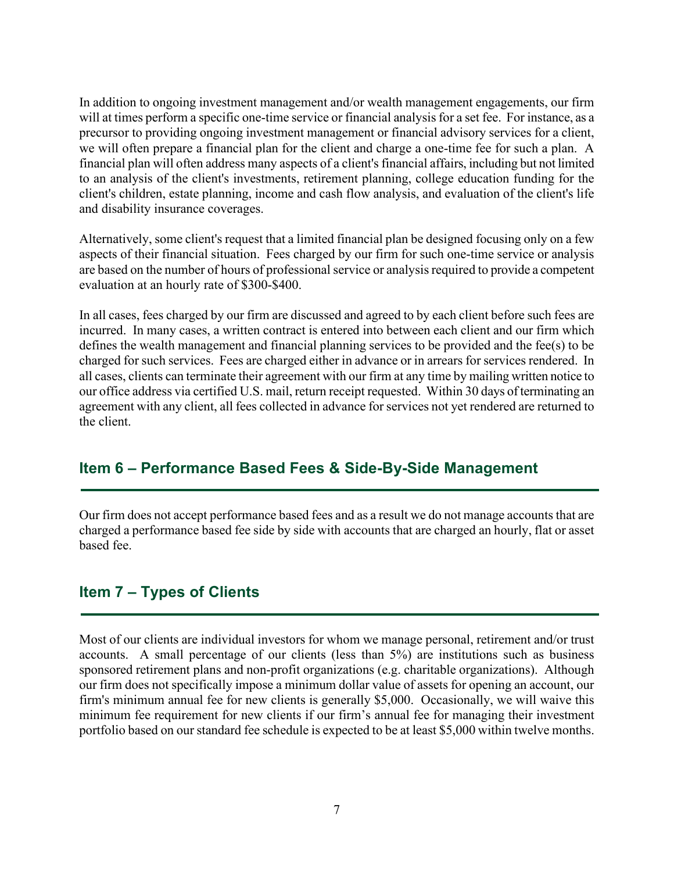In addition to ongoing investment management and/or wealth management engagements, our firm will at times perform a specific one-time service or financial analysis for a set fee. For instance, as a precursor to providing ongoing investment management or financial advisory services for a client, we will often prepare a financial plan for the client and charge a one-time fee for such a plan. A financial plan will often address many aspects of a client's financial affairs, including but not limited to an analysis of the client's investments, retirement planning, college education funding for the client's children, estate planning, income and cash flow analysis, and evaluation of the client's life and disability insurance coverages.

Alternatively, some client's request that a limited financial plan be designed focusing only on a few aspects of their financial situation. Fees charged by our firm for such one-time service or analysis are based on the number of hours of professional service or analysis required to provide a competent evaluation at an hourly rate of \$300-\$400.

In all cases, fees charged by our firm are discussed and agreed to by each client before such fees are incurred. In many cases, a written contract is entered into between each client and our firm which defines the wealth management and financial planning services to be provided and the fee(s) to be charged for such services. Fees are charged either in advance or in arrears for services rendered. In all cases, clients can terminate their agreement with our firm at any time by mailing written notice to our office address via certified U.S. mail, return receipt requested. Within 30 days of terminating an agreement with any client, all fees collected in advance for services not yet rendered are returned to the client.

### **Item 6 – Performance Based Fees & Side-By-Side Management**

Our firm does not accept performance based fees and as a result we do not manage accounts that are charged a performance based fee side by side with accounts that are charged an hourly, flat or asset based fee.

### **Item 7 – Types of Clients**

Most of our clients are individual investors for whom we manage personal, retirement and/or trust accounts. A small percentage of our clients (less than 5%) are institutions such as business sponsored retirement plans and non-profit organizations (e.g. charitable organizations). Although our firm does not specifically impose a minimum dollar value of assets for opening an account, our firm's minimum annual fee for new clients is generally \$5,000. Occasionally, we will waive this minimum fee requirement for new clients if our firm's annual fee for managing their investment portfolio based on our standard fee schedule is expected to be at least \$5,000 within twelve months.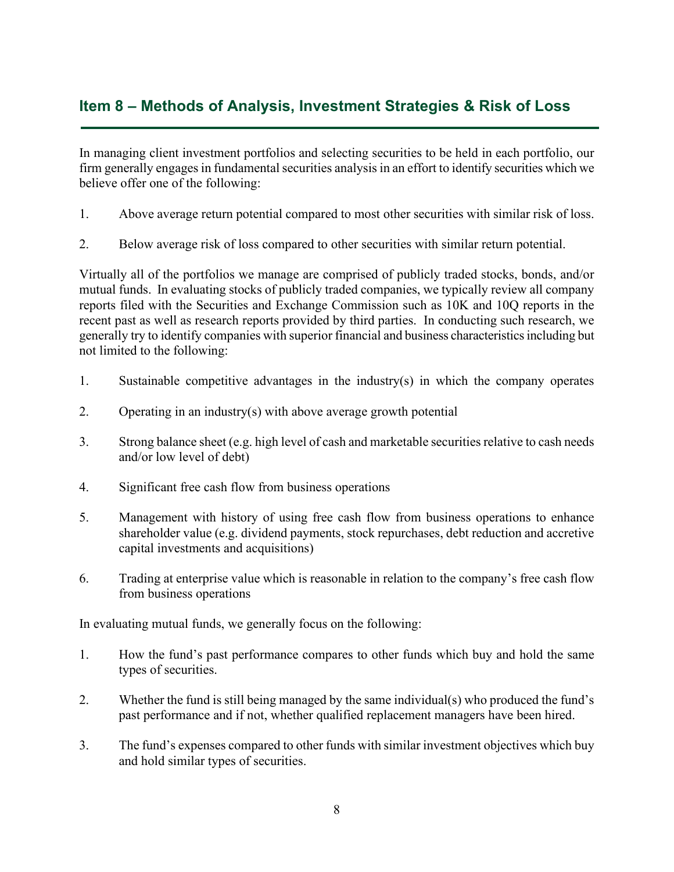### **Item 8 – Methods of Analysis, Investment Strategies & Risk of Loss**

In managing client investment portfolios and selecting securities to be held in each portfolio, our firm generally engages in fundamental securities analysis in an effort to identify securities which we believe offer one of the following:

- 1. Above average return potential compared to most other securities with similar risk of loss.
- 2. Below average risk of loss compared to other securities with similar return potential.

Virtually all of the portfolios we manage are comprised of publicly traded stocks, bonds, and/or mutual funds. In evaluating stocks of publicly traded companies, we typically review all company reports filed with the Securities and Exchange Commission such as 10K and 10Q reports in the recent past as well as research reports provided by third parties. In conducting such research, we generally try to identify companies with superior financial and business characteristics including but not limited to the following:

- 1. Sustainable competitive advantages in the industry(s) in which the company operates
- 2. Operating in an industry(s) with above average growth potential
- 3. Strong balance sheet (e.g. high level of cash and marketable securities relative to cash needs and/or low level of debt)
- 4. Significant free cash flow from business operations
- 5. Management with history of using free cash flow from business operations to enhance shareholder value (e.g. dividend payments, stock repurchases, debt reduction and accretive capital investments and acquisitions)
- 6. Trading at enterprise value which is reasonable in relation to the company's free cash flow from business operations

In evaluating mutual funds, we generally focus on the following:

- 1. How the fund's past performance compares to other funds which buy and hold the same types of securities.
- 2. Whether the fund is still being managed by the same individual(s) who produced the fund's past performance and if not, whether qualified replacement managers have been hired.
- 3. The fund's expenses compared to other funds with similar investment objectives which buy and hold similar types of securities.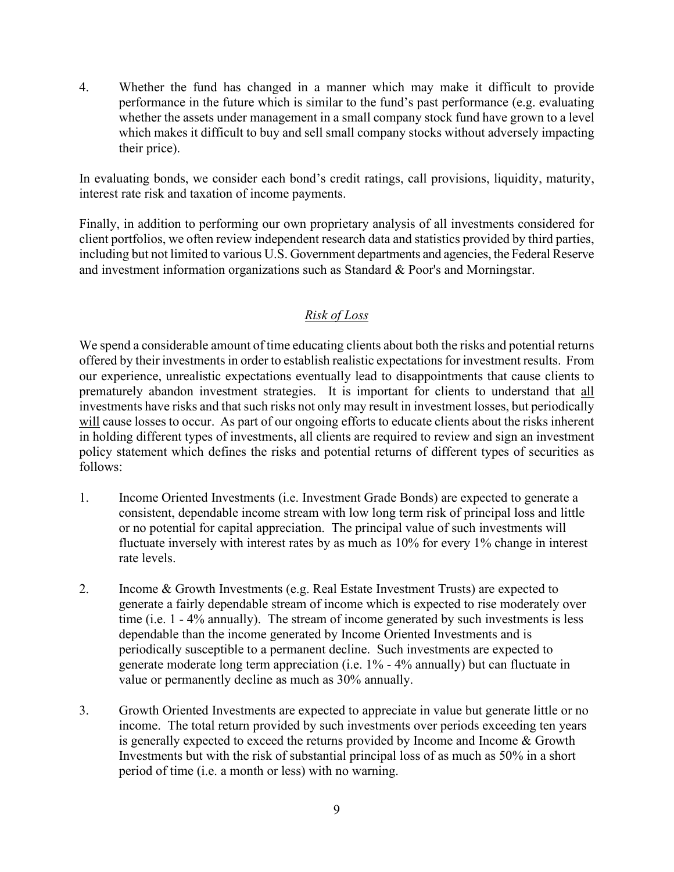4. Whether the fund has changed in a manner which may make it difficult to provide performance in the future which is similar to the fund's past performance (e.g. evaluating whether the assets under management in a small company stock fund have grown to a level which makes it difficult to buy and sell small company stocks without adversely impacting their price).

In evaluating bonds, we consider each bond's credit ratings, call provisions, liquidity, maturity, interest rate risk and taxation of income payments.

Finally, in addition to performing our own proprietary analysis of all investments considered for client portfolios, we often review independent research data and statistics provided by third parties, including but not limited to various U.S. Government departments and agencies, the Federal Reserve and investment information organizations such as Standard & Poor's and Morningstar.

#### *Risk of Loss*

We spend a considerable amount of time educating clients about both the risks and potential returns offered by their investments in order to establish realistic expectations for investment results. From our experience, unrealistic expectations eventually lead to disappointments that cause clients to prematurely abandon investment strategies. It is important for clients to understand that all investments have risks and that such risks not only may result in investment losses, but periodically will cause losses to occur. As part of our ongoing efforts to educate clients about the risks inherent in holding different types of investments, all clients are required to review and sign an investment policy statement which defines the risks and potential returns of different types of securities as follows:

- 1. Income Oriented Investments (i.e. Investment Grade Bonds) are expected to generate a consistent, dependable income stream with low long term risk of principal loss and little or no potential for capital appreciation. The principal value of such investments will fluctuate inversely with interest rates by as much as 10% for every 1% change in interest rate levels.
- 2. Income & Growth Investments (e.g. Real Estate Investment Trusts) are expected to generate a fairly dependable stream of income which is expected to rise moderately over time (i.e. 1 - 4% annually). The stream of income generated by such investments is less dependable than the income generated by Income Oriented Investments and is periodically susceptible to a permanent decline. Such investments are expected to generate moderate long term appreciation (i.e. 1% - 4% annually) but can fluctuate in value or permanently decline as much as 30% annually.
- 3. Growth Oriented Investments are expected to appreciate in value but generate little or no income. The total return provided by such investments over periods exceeding ten years is generally expected to exceed the returns provided by Income and Income & Growth Investments but with the risk of substantial principal loss of as much as 50% in a short period of time (i.e. a month or less) with no warning.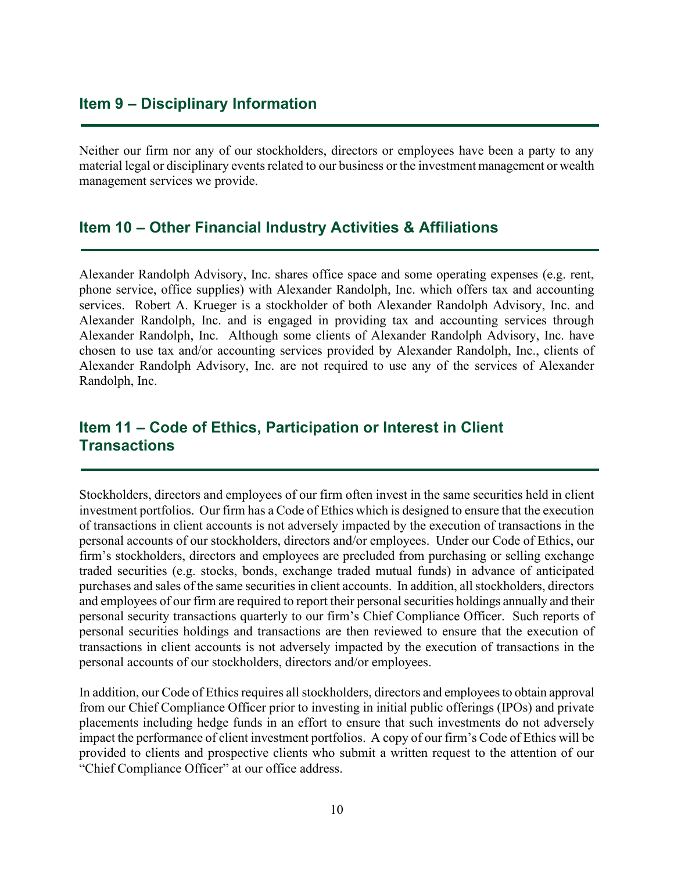### **Item 9 – Disciplinary Information**

Neither our firm nor any of our stockholders, directors or employees have been a party to any material legal or disciplinary events related to our business or the investment management or wealth management services we provide.

#### **Item 10 – Other Financial Industry Activities & Affiliations**

Alexander Randolph Advisory, Inc. shares office space and some operating expenses (e.g. rent, phone service, office supplies) with Alexander Randolph, Inc. which offers tax and accounting services. Robert A. Krueger is a stockholder of both Alexander Randolph Advisory, Inc. and Alexander Randolph, Inc. and is engaged in providing tax and accounting services through Alexander Randolph, Inc. Although some clients of Alexander Randolph Advisory, Inc. have chosen to use tax and/or accounting services provided by Alexander Randolph, Inc., clients of Alexander Randolph Advisory, Inc. are not required to use any of the services of Alexander Randolph, Inc.

### **Item 11 – Code of Ethics, Participation or Interest in Client Transactions**

Stockholders, directors and employees of our firm often invest in the same securities held in client investment portfolios. Our firm has a Code of Ethics which is designed to ensure that the execution of transactions in client accounts is not adversely impacted by the execution of transactions in the personal accounts of our stockholders, directors and/or employees. Under our Code of Ethics, our firm's stockholders, directors and employees are precluded from purchasing or selling exchange traded securities (e.g. stocks, bonds, exchange traded mutual funds) in advance of anticipated purchases and sales of the same securitiesin client accounts. In addition, all stockholders, directors and employees of our firm are required to report their personal securities holdings annually and their personal security transactions quarterly to our firm's Chief Compliance Officer. Such reports of personal securities holdings and transactions are then reviewed to ensure that the execution of transactions in client accounts is not adversely impacted by the execution of transactions in the personal accounts of our stockholders, directors and/or employees.

In addition, our Code of Ethics requires all stockholders, directors and employees to obtain approval from our Chief Compliance Officer prior to investing in initial public offerings (IPOs) and private placements including hedge funds in an effort to ensure that such investments do not adversely impact the performance of client investment portfolios. A copy of our firm's Code of Ethics will be provided to clients and prospective clients who submit a written request to the attention of our "Chief Compliance Officer" at our office address.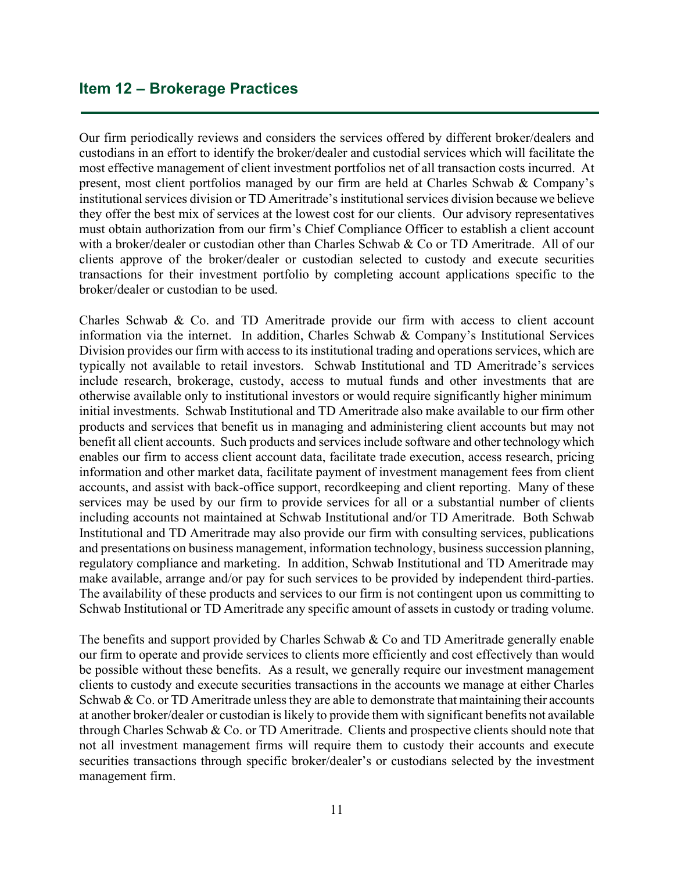#### **Item 12 – Brokerage Practices**

Our firm periodically reviews and considers the services offered by different broker/dealers and custodians in an effort to identify the broker/dealer and custodial services which will facilitate the most effective management of client investment portfolios net of all transaction costs incurred. At present, most client portfolios managed by our firm are held at Charles Schwab & Company's institutional services division or TD Ameritrade's institutional services division because we believe they offer the best mix of services at the lowest cost for our clients. Our advisory representatives must obtain authorization from our firm's Chief Compliance Officer to establish a client account with a broker/dealer or custodian other than Charles Schwab & Co or TD Ameritrade. All of our clients approve of the broker/dealer or custodian selected to custody and execute securities transactions for their investment portfolio by completing account applications specific to the broker/dealer or custodian to be used.

Charles Schwab & Co. and TD Ameritrade provide our firm with access to client account information via the internet. In addition, Charles Schwab & Company's Institutional Services Division provides our firm with access to its institutional trading and operations services, which are typically not available to retail investors. Schwab Institutional and TD Ameritrade's services include research, brokerage, custody, access to mutual funds and other investments that are otherwise available only to institutional investors or would require significantly higher minimum initial investments. Schwab Institutional and TD Ameritrade also make available to our firm other products and services that benefit us in managing and administering client accounts but may not benefit all client accounts. Such products and services include software and other technology which enables our firm to access client account data, facilitate trade execution, access research, pricing information and other market data, facilitate payment of investment management fees from client accounts, and assist with back-office support, recordkeeping and client reporting. Many of these services may be used by our firm to provide services for all or a substantial number of clients including accounts not maintained at Schwab Institutional and/or TD Ameritrade. Both Schwab Institutional and TD Ameritrade may also provide our firm with consulting services, publications and presentations on business management, information technology, business succession planning, regulatory compliance and marketing. In addition, Schwab Institutional and TD Ameritrade may make available, arrange and/or pay for such services to be provided by independent third-parties. The availability of these products and services to our firm is not contingent upon us committing to Schwab Institutional or TD Ameritrade any specific amount of assets in custody or trading volume.

The benefits and support provided by Charles Schwab & Co and TD Ameritrade generally enable our firm to operate and provide services to clients more efficiently and cost effectively than would be possible without these benefits. As a result, we generally require our investment management clients to custody and execute securities transactions in the accounts we manage at either Charles Schwab & Co. or TD Ameritrade unless they are able to demonstrate that maintaining their accounts at another broker/dealer or custodian is likely to provide them with significant benefits not available through Charles Schwab & Co. or TD Ameritrade. Clients and prospective clients should note that not all investment management firms will require them to custody their accounts and execute securities transactions through specific broker/dealer's or custodians selected by the investment management firm.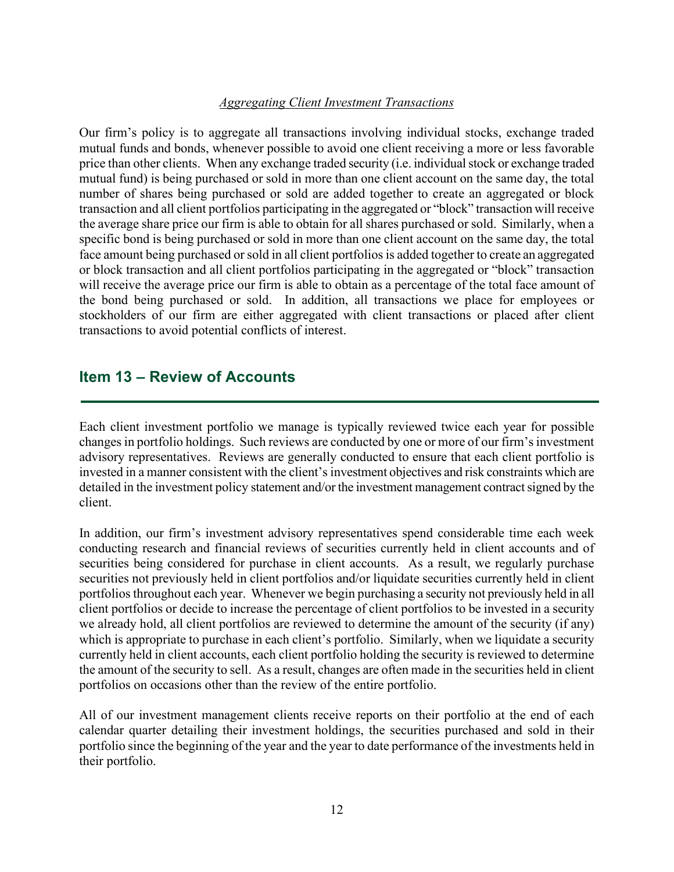#### *Aggregating Client Investment Transactions*

Our firm's policy is to aggregate all transactions involving individual stocks, exchange traded mutual funds and bonds, whenever possible to avoid one client receiving a more or less favorable price than other clients. When any exchange traded security (i.e. individual stock or exchange traded mutual fund) is being purchased or sold in more than one client account on the same day, the total number of shares being purchased or sold are added together to create an aggregated or block transaction and all client portfolios participating in the aggregated or "block" transaction will receive the average share price our firm is able to obtain for all shares purchased or sold. Similarly, when a specific bond is being purchased or sold in more than one client account on the same day, the total face amount being purchased or sold in all client portfolios is added together to create an aggregated or block transaction and all client portfolios participating in the aggregated or "block" transaction will receive the average price our firm is able to obtain as a percentage of the total face amount of the bond being purchased or sold. In addition, all transactions we place for employees or stockholders of our firm are either aggregated with client transactions or placed after client transactions to avoid potential conflicts of interest.

### **Item 13 – Review of Accounts**

Each client investment portfolio we manage is typically reviewed twice each year for possible changes in portfolio holdings. Such reviews are conducted by one or more of our firm's investment advisory representatives. Reviews are generally conducted to ensure that each client portfolio is invested in a manner consistent with the client's investment objectives and risk constraints which are detailed in the investment policy statement and/or the investment management contract signed by the client.

In addition, our firm's investment advisory representatives spend considerable time each week conducting research and financial reviews of securities currently held in client accounts and of securities being considered for purchase in client accounts. As a result, we regularly purchase securities not previously held in client portfolios and/or liquidate securities currently held in client portfolios throughout each year. Whenever we begin purchasing a security not previously held in all client portfolios or decide to increase the percentage of client portfolios to be invested in a security we already hold, all client portfolios are reviewed to determine the amount of the security (if any) which is appropriate to purchase in each client's portfolio. Similarly, when we liquidate a security currently held in client accounts, each client portfolio holding the security is reviewed to determine the amount of the security to sell. As a result, changes are often made in the securities held in client portfolios on occasions other than the review of the entire portfolio.

All of our investment management clients receive reports on their portfolio at the end of each calendar quarter detailing their investment holdings, the securities purchased and sold in their portfolio since the beginning of the year and the year to date performance of the investments held in their portfolio.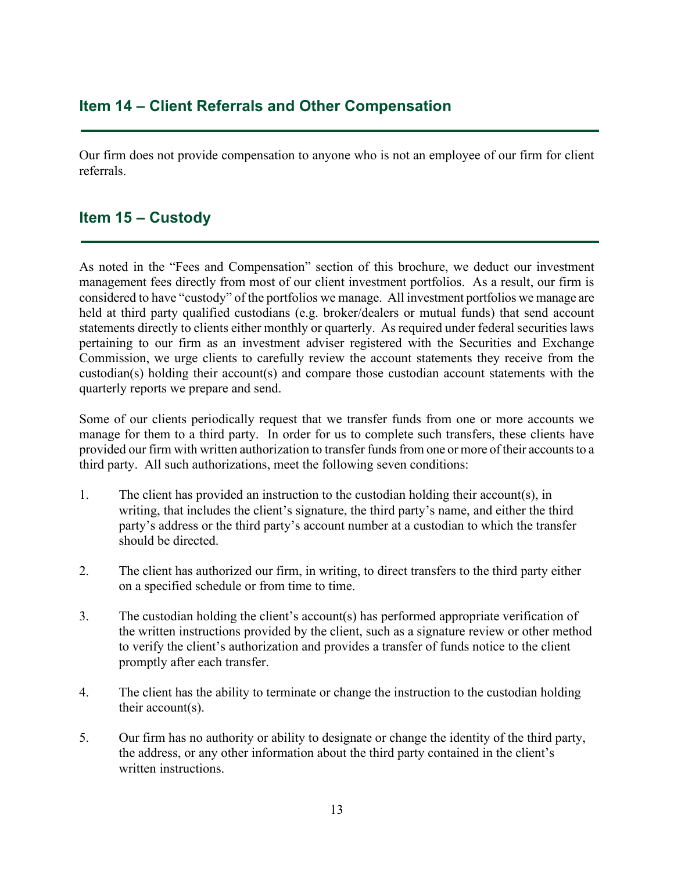### **Item 14 – Client Referrals and Other Compensation**

Our firm does not provide compensation to anyone who is not an employee of our firm for client referrals.

### **Item 15 – Custody**

As noted in the "Fees and Compensation" section of this brochure, we deduct our investment management fees directly from most of our client investment portfolios. As a result, our firm is considered to have "custody" of the portfolios we manage. All investment portfolios we manage are held at third party qualified custodians (e.g. broker/dealers or mutual funds) that send account statements directly to clients either monthly or quarterly. As required under federal securities laws pertaining to our firm as an investment adviser registered with the Securities and Exchange Commission, we urge clients to carefully review the account statements they receive from the custodian(s) holding their account(s) and compare those custodian account statements with the quarterly reports we prepare and send.

Some of our clients periodically request that we transfer funds from one or more accounts we manage for them to a third party. In order for us to complete such transfers, these clients have provided our firm with written authorization to transfer funds from one or more of their accounts to a third party. All such authorizations, meet the following seven conditions:

- 1. The client has provided an instruction to the custodian holding their account(s), in writing, that includes the client's signature, the third party's name, and either the third party's address or the third party's account number at a custodian to which the transfer should be directed.
- 2. The client has authorized our firm, in writing, to direct transfers to the third party either on a specified schedule or from time to time.
- 3. The custodian holding the client's account(s) has performed appropriate verification of the written instructions provided by the client, such as a signature review or other method to verify the client's authorization and provides a transfer of funds notice to the client promptly after each transfer.
- 4. The client has the ability to terminate or change the instruction to the custodian holding their account(s).
- 5. Our firm has no authority or ability to designate or change the identity of the third party, the address, or any other information about the third party contained in the client's written instructions.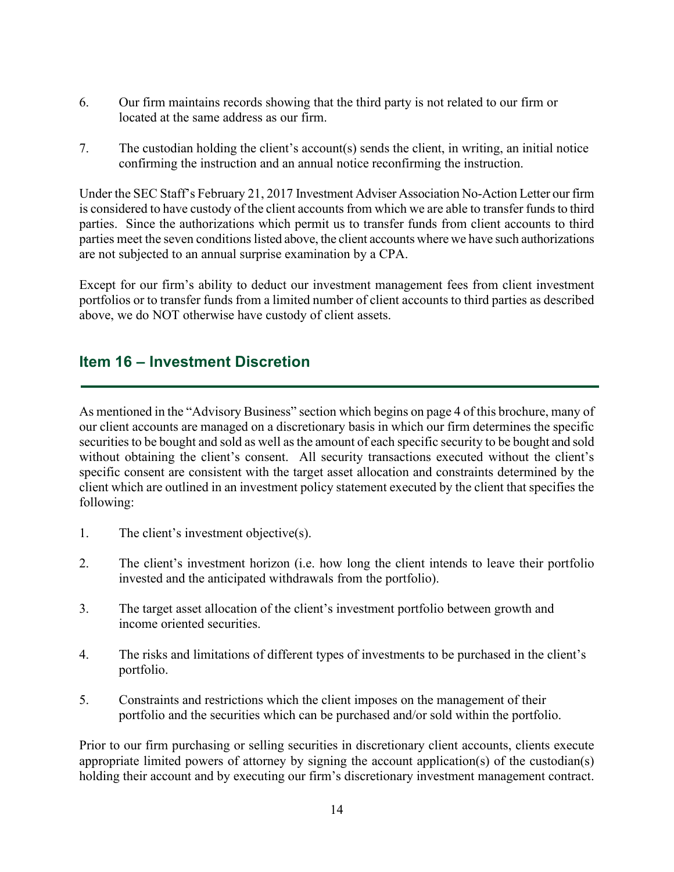- 6. Our firm maintains records showing that the third party is not related to our firm or located at the same address as our firm.
- 7. The custodian holding the client's account(s) sends the client, in writing, an initial notice confirming the instruction and an annual notice reconfirming the instruction.

Under the SEC Staff's February 21, 2017 Investment Adviser Association No-Action Letter our firm is considered to have custody of the client accounts from which we are able to transfer funds to third parties. Since the authorizations which permit us to transfer funds from client accounts to third parties meet the seven conditions listed above, the client accounts where we have such authorizations are not subjected to an annual surprise examination by a CPA.

Except for our firm's ability to deduct our investment management fees from client investment portfolios or to transfer funds from a limited number of client accounts to third parties as described above, we do NOT otherwise have custody of client assets.

### **Item 16 – Investment Discretion**

As mentioned in the "Advisory Business" section which begins on page 4 of this brochure, many of our client accounts are managed on a discretionary basis in which our firm determines the specific securities to be bought and sold as well as the amount of each specific security to be bought and sold without obtaining the client's consent. All security transactions executed without the client's specific consent are consistent with the target asset allocation and constraints determined by the client which are outlined in an investment policy statement executed by the client that specifies the following:

- 1. The client's investment objective(s).
- 2. The client's investment horizon (i.e. how long the client intends to leave their portfolio invested and the anticipated withdrawals from the portfolio).
- 3. The target asset allocation of the client's investment portfolio between growth and income oriented securities.
- 4. The risks and limitations of different types of investments to be purchased in the client's portfolio.
- 5. Constraints and restrictions which the client imposes on the management of their portfolio and the securities which can be purchased and/or sold within the portfolio.

Prior to our firm purchasing or selling securities in discretionary client accounts, clients execute appropriate limited powers of attorney by signing the account application(s) of the custodian(s) holding their account and by executing our firm's discretionary investment management contract.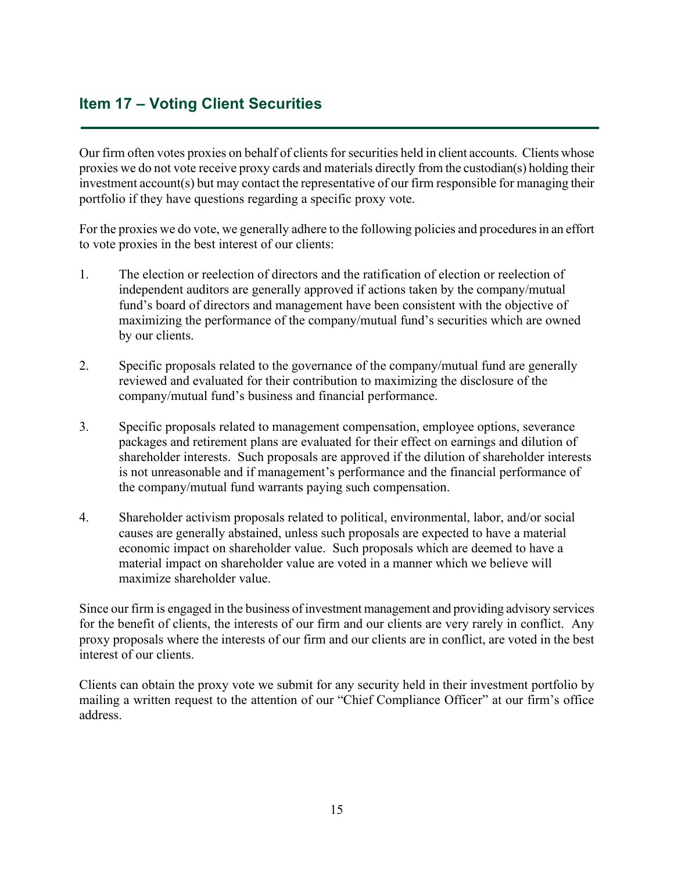## **Item 17 – Voting Client Securities**

Our firm often votes proxies on behalf of clients for securities held in client accounts. Clients whose proxies we do not vote receive proxy cards and materials directly from the custodian(s) holding their investment account(s) but may contact the representative of our firm responsible for managing their portfolio if they have questions regarding a specific proxy vote.

For the proxies we do vote, we generally adhere to the following policies and procedures in an effort to vote proxies in the best interest of our clients:

- 1. The election or reelection of directors and the ratification of election or reelection of independent auditors are generally approved if actions taken by the company/mutual fund's board of directors and management have been consistent with the objective of maximizing the performance of the company/mutual fund's securities which are owned by our clients.
- 2. Specific proposals related to the governance of the company/mutual fund are generally reviewed and evaluated for their contribution to maximizing the disclosure of the company/mutual fund's business and financial performance.
- 3. Specific proposals related to management compensation, employee options, severance packages and retirement plans are evaluated for their effect on earnings and dilution of shareholder interests. Such proposals are approved if the dilution of shareholder interests is not unreasonable and if management's performance and the financial performance of the company/mutual fund warrants paying such compensation.
- 4. Shareholder activism proposals related to political, environmental, labor, and/or social causes are generally abstained, unless such proposals are expected to have a material economic impact on shareholder value. Such proposals which are deemed to have a material impact on shareholder value are voted in a manner which we believe will maximize shareholder value.

Since our firm is engaged in the business of investment management and providing advisory services for the benefit of clients, the interests of our firm and our clients are very rarely in conflict. Any proxy proposals where the interests of our firm and our clients are in conflict, are voted in the best interest of our clients.

Clients can obtain the proxy vote we submit for any security held in their investment portfolio by mailing a written request to the attention of our "Chief Compliance Officer" at our firm's office address.